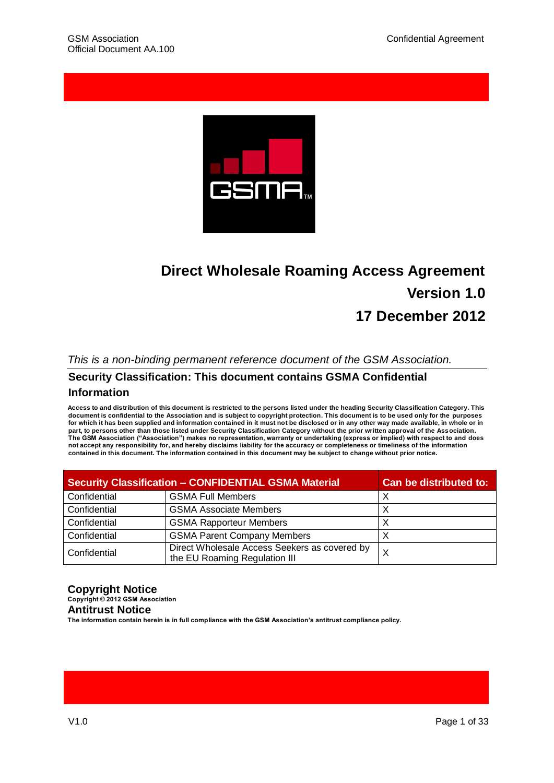

# **Direct Wholesale Roaming Access Agreement Version 1.0 17 December 2012**

### *This is a non-binding permanent reference document of the GSM Association.*

# **Security Classification: This document contains GSMA Confidential**

#### **Information**

**Access to and distribution of this document is restricted to the persons listed under the heading Security Classification Category. This document is confidential to the Association and is subject to copyright protection. This document is to be used only for the purposes for which it has been supplied and information contained in it must not be disclosed or in any other way made available, in whole or in part, to persons other than those listed under Security Classification Category without the prior written approval of the Association. The GSM Association ("Association") makes no representation, warranty or undertaking (express or implied) with respect to and does not accept any responsibility for, and hereby disclaims liability for the accuracy or completeness or timeliness of the information contained in this document. The information contained in this document may be subject to change without prior notice.**

| <b>Security Classification - CONFIDENTIAL GSMA Material</b> |                                                                                | <b>Can be distributed to:</b> |
|-------------------------------------------------------------|--------------------------------------------------------------------------------|-------------------------------|
| Confidential                                                | <b>GSMA Full Members</b>                                                       | X                             |
| Confidential                                                | <b>GSMA Associate Members</b>                                                  | X                             |
| Confidential                                                | <b>GSMA Rapporteur Members</b>                                                 | X                             |
| Confidential                                                | <b>GSMA Parent Company Members</b>                                             | X                             |
| Confidential                                                | Direct Wholesale Access Seekers as covered by<br>the EU Roaming Regulation III | X                             |

#### **Copyright Notice Copyright © 2012 GSM Association Antitrust Notice**

**The information contain herein is in full compliance with the GSM Association's antitrust compliance policy.**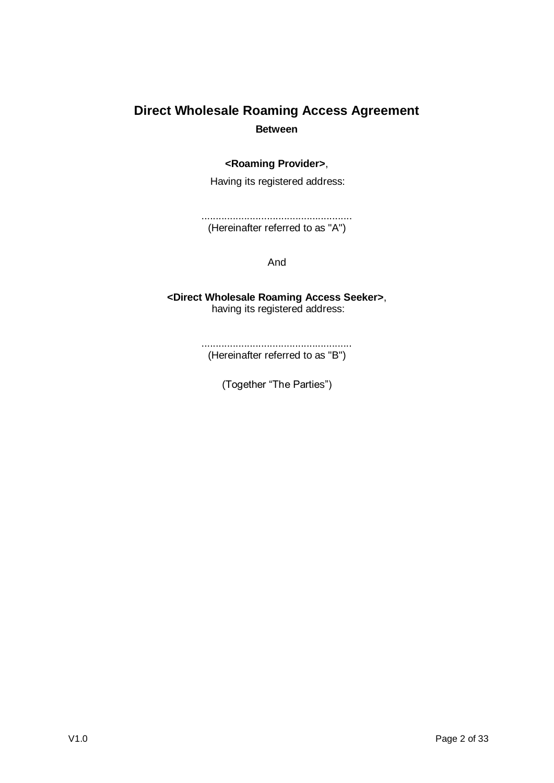# **Direct Wholesale Roaming Access Agreement Between**

### **<Roaming Provider>**,

Having its registered address:

..................................................... (Hereinafter referred to as "A")

And

**<Direct Wholesale Roaming Access Seeker>**, having its registered address:

> ..................................................... (Hereinafter referred to as "B")

> > (Together "The Parties")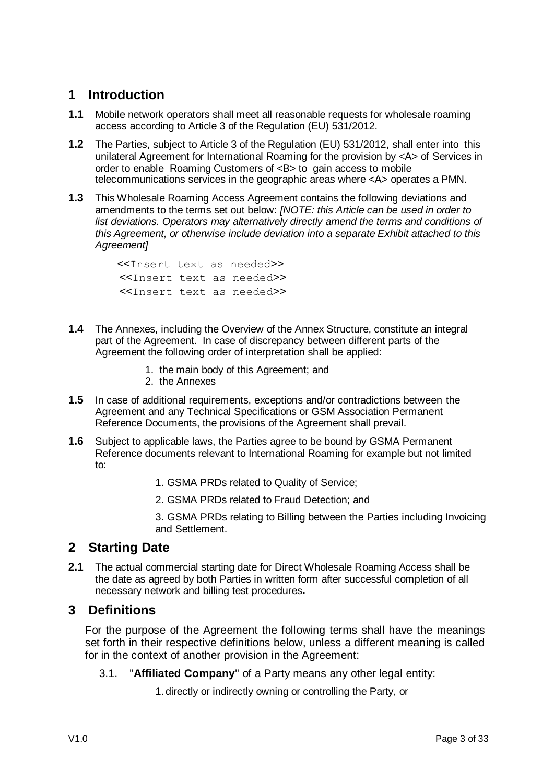## **1 Introduction**

- **1.1** Mobile network operators shall meet all reasonable requests for wholesale roaming access according to Article 3 of the Regulation (EU) 531/2012.
- **1.2** The Parties, subject to Article 3 of the Regulation (EU) 531/2012, shall enter into this unilateral Agreement for International Roaming for the provision by <A> of Services in order to enable Roaming Customers of <B> to gain access to mobile telecommunications services in the geographic areas where <A> operates a PMN.
- **1.3** This Wholesale Roaming Access Agreement contains the following deviations and amendments to the terms set out below: *[NOTE: this Article can be used in order to list deviations. Operators may alternatively directly amend the terms and conditions of this Agreement, or otherwise include deviation into a separate Exhibit attached to this Agreement]*

<<Insert text as needed>> <<Insert text as needed>> <<Insert text as needed>>

- **1.4** The Annexes, including the Overview of the Annex Structure, constitute an integral part of the Agreement. In case of discrepancy between different parts of the Agreement the following order of interpretation shall be applied:
	- 1. the main body of this Agreement; and
	- 2. the Annexes
- **1.5** In case of additional requirements, exceptions and/or contradictions between the Agreement and any Technical Specifications or GSM Association Permanent Reference Documents, the provisions of the Agreement shall prevail.
- **1.6** Subject to applicable laws, the Parties agree to be bound by GSMA Permanent Reference documents relevant to International Roaming for example but not limited to:
	- 1. GSMA PRDs related to Quality of Service;
	- 2. GSMA PRDs related to Fraud Detection; and

3. GSMA PRDs relating to Billing between the Parties including Invoicing and Settlement.

## **2 Starting Date**

**2.1** The actual commercial starting date for Direct Wholesale Roaming Access shall be the date as agreed by both Parties in written form after successful completion of all necessary network and billing test procedures**.**

## **3 Definitions**

For the purpose of the Agreement the following terms shall have the meanings set forth in their respective definitions below, unless a different meaning is called for in the context of another provision in the Agreement:

3.1. "**Affiliated Company**" of a Party means any other legal entity:

1. directly or indirectly owning or controlling the Party, or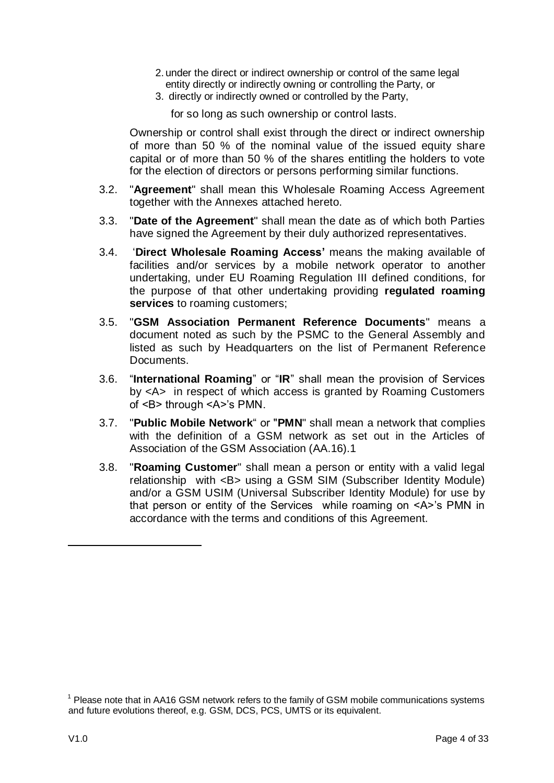- 2. under the direct or indirect ownership or control of the same legal entity directly or indirectly owning or controlling the Party, or
- 3. directly or indirectly owned or controlled by the Party,

for so long as such ownership or control lasts.

Ownership or control shall exist through the direct or indirect ownership of more than 50 % of the nominal value of the issued equity share capital or of more than 50 % of the shares entitling the holders to vote for the election of directors or persons performing similar functions.

- 3.2. "**Agreement**" shall mean this Wholesale Roaming Access Agreement together with the Annexes attached hereto.
- 3.3. "**Date of the Agreement**" shall mean the date as of which both Parties have signed the Agreement by their duly authorized representatives.
- 3.4. "**Direct Wholesale Roaming Access'** means the making available of facilities and/or services by a mobile network operator to another undertaking, under EU Roaming Regulation III defined conditions, for the purpose of that other undertaking providing **regulated roaming services** to roaming customers;
- 3.5. "**GSM Association Permanent Reference Documents**" means a document noted as such by the PSMC to the General Assembly and listed as such by Headquarters on the list of Permanent Reference Documents.
- 3.6. "**International Roaming**" or "**IR**" shall mean the provision of Services by <A> in respect of which access is granted by Roaming Customers of <B> through <A>"s PMN.
- 3.7. "**Public Mobile Network**" or "**PMN**" shall mean a network that complies with the definition of a GSM network as set out in the Articles of Association of the GSM Association (AA.16).1
- 3.8. "**Roaming Customer**" shall mean a person or entity with a valid legal relationship with <B> using a GSM SIM (Subscriber Identity Module) and/or a GSM USIM (Universal Subscriber Identity Module) for use by that person or entity of the Services while roaming on <A>"s PMN in accordance with the terms and conditions of this Agreement.

-

<sup>&</sup>lt;sup>1</sup> Please note that in AA16 GSM network refers to the family of GSM mobile communications systems and future evolutions thereof, e.g. GSM, DCS, PCS, UMTS or its equivalent.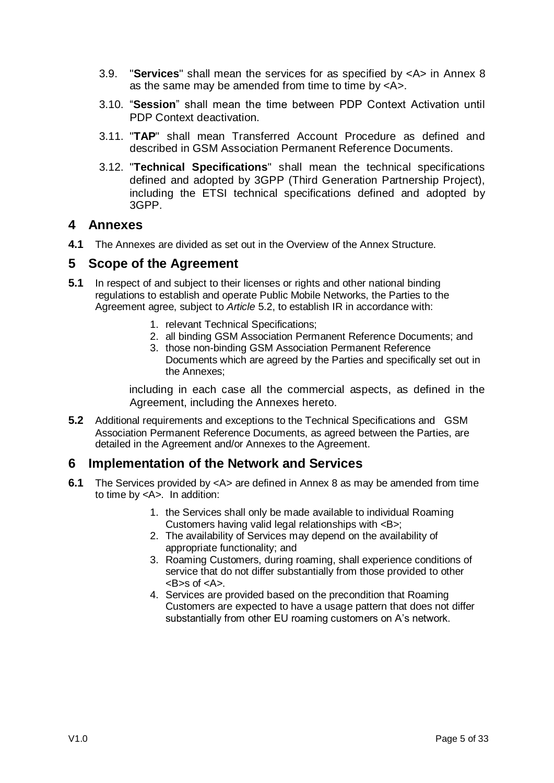- 3.9. "**Services**" shall mean the services for as specified by <A> in Annex 8 as the same may be amended from time to time by <A>.
- 3.10. "**Session**" shall mean the time between PDP Context Activation until PDP Context deactivation.
- 3.11. "**TAP**" shall mean Transferred Account Procedure as defined and described in GSM Association Permanent Reference Documents.
- 3.12. "**Technical Specifications**" shall mean the technical specifications defined and adopted by 3GPP (Third Generation Partnership Project), including the ETSI technical specifications defined and adopted by 3GPP.

### **4 Annexes**

**4.1** The Annexes are divided as set out in the Overview of the Annex Structure.

### **5 Scope of the Agreement**

- <span id="page-4-5"></span><span id="page-4-4"></span><span id="page-4-3"></span><span id="page-4-2"></span>**5.1** In respect of and subject to their licenses or rights and other national binding regulations to establish and operate Public Mobile Networks, the Parties to the Agreement agree, subject to *Article* [5.2,](#page-4-0) to establish IR in accordance with:
	- 1. relevant Technical Specifications;
	- 2. all binding GSM Association Permanent Reference Documents; and
	- 3. those non-binding GSM Association Permanent Reference Documents which are agreed by the Parties and specifically set out in the Annexes;

including in each case all the commercial aspects, as defined in the Agreement, including the Annexes hereto.

<span id="page-4-0"></span>**5.2** Additional requirements and exceptions to the Technical Specifications and GSM Association Permanent Reference Documents, as agreed between the Parties, are detailed in the Agreement and/or Annexes to the Agreement.

## <span id="page-4-1"></span>**6 Implementation of the Network and Services**

- **6.1** The Services provided by <A> are defined in Annex 8 as may be amended from time to time by <A>. In addition:
	- 1. the Services shall only be made available to individual Roaming Customers having valid legal relationships with <B>;
	- 2. The availability of Services may depend on the availability of appropriate functionality; and
	- 3. Roaming Customers, during roaming, shall experience conditions of service that do not differ substantially from those provided to other  $<$ B $>$ s of  $<$ A $>$ .
	- 4. Services are provided based on the precondition that Roaming Customers are expected to have a usage pattern that does not differ substantially from other EU roaming customers on A's network.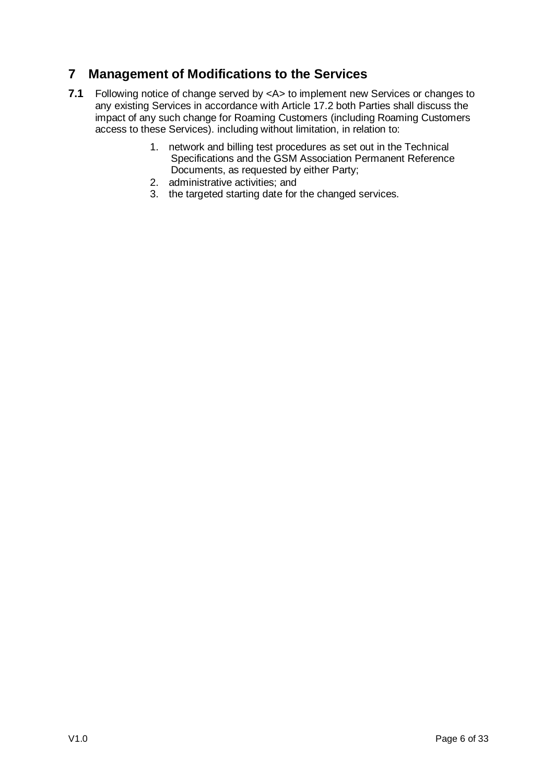## **7 Management of Modifications to the Services**

- **7.1** Following notice of change served by <A> to implement new Services or changes to any existing Services in accordance with Article 17.2 both Parties shall discuss the impact of any such change for Roaming Customers (including Roaming Customers access to these Services). including without limitation, in relation to:
	- 1. network and billing test procedures as set out in the Technical Specifications and the GSM Association Permanent Reference Documents, as requested by either Party;
	- 2. administrative activities; and
	- 3. the targeted starting date for the changed services.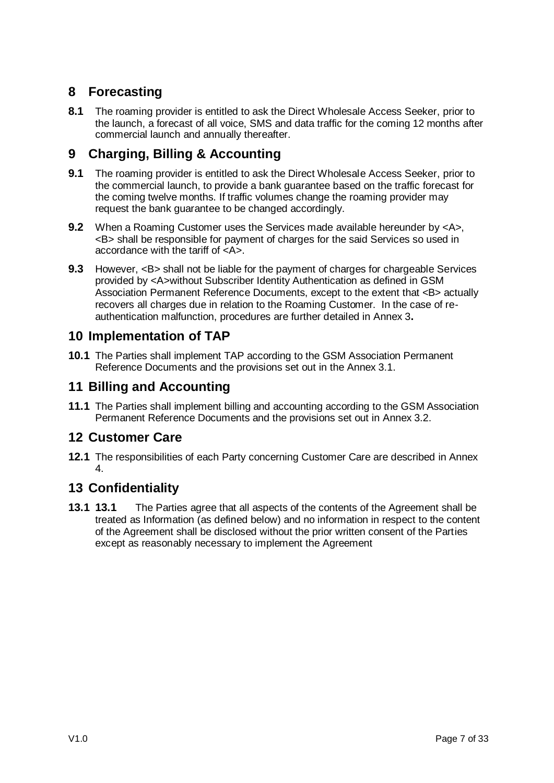## **8 Forecasting**

**8.1** The roaming provider is entitled to ask the Direct Wholesale Access Seeker, prior to the launch, a forecast of all voice, SMS and data traffic for the coming 12 months after commercial launch and annually thereafter.

## **9 Charging, Billing & Accounting**

- **9.1** The roaming provider is entitled to ask the Direct Wholesale Access Seeker, prior to the commercial launch, to provide a bank guarantee based on the traffic forecast for the coming twelve months. If traffic volumes change the roaming provider may request the bank guarantee to be changed accordingly.
- **9.2** When a Roaming Customer uses the Services made available hereunder by <A>, <B> shall be responsible for payment of charges for the said Services so used in accordance with the tariff of <A>.
- **9.3** However, <B> shall not be liable for the payment of charges for chargeable Services provided by <A>without Subscriber Identity Authentication as defined in GSM Association Permanent Reference Documents, except to the extent that <B> actually recovers all charges due in relation to the Roaming Customer. In the case of reauthentication malfunction, procedures are further detailed in Annex 3**.**

## **10 Implementation of TAP**

**10.1** The Parties shall implement TAP according to the GSM Association Permanent Reference Documents and the provisions set out in the Annex 3.1.

## **11 Billing and Accounting**

**11.1** The Parties shall implement billing and accounting according to the GSM Association Permanent Reference Documents and the provisions set out in Annex 3.2.

## **12 Customer Care**

**12.1** The responsibilities of each Party concerning Customer Care are described in Annex 4.

## <span id="page-6-0"></span>**13 Confidentiality**

**13.1 13.1** The Parties agree that all aspects of the contents of the Agreement shall be treated as Information (as defined below) and no information in respect to the content of the Agreement shall be disclosed without the prior written consent of the Parties except as reasonably necessary to implement the Agreement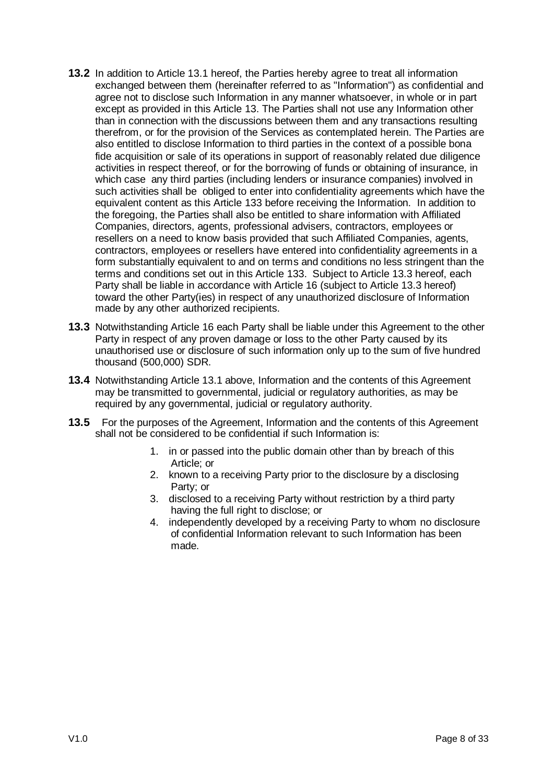- **13.2** In addition to Article 13.1 hereof, the Parties hereby agree to treat all information exchanged between them (hereinafter referred to as "Information") as confidential and agree not to disclose such Information in any manner whatsoever, in whole or in part except as provided in this Article 13. The Parties shall not use any Information other than in connection with the discussions between them and any transactions resulting therefrom, or for the provision of the Services as contemplated herein. The Parties are also entitled to disclose Information to third parties in the context of a possible bona fide acquisition or sale of its operations in support of reasonably related due diligence activities in respect thereof, or for the borrowing of funds or obtaining of insurance, in which case any third parties (including lenders or insurance companies) involved in such activities shall be obliged to enter into confidentiality agreements which have the equivalent content as this Article [133](#page-6-0) before receiving the Information. In addition to the foregoing, the Parties shall also be entitled to share information with Affiliated Companies, directors, agents, professional advisers, contractors, employees or resellers on a need to know basis provided that such Affiliated Companies, agents, contractors, employees or resellers have entered into confidentiality agreements in a form substantially equivalent to and on terms and conditions no less stringent than the terms and conditions set out in this Article [133](#page-6-0). Subject to Article [13.3](#page-7-0) hereof, each Party shall be liable in accordance with Article [16](#page-8-0) (subject to Article [13.3](#page-7-0) hereof) toward the other Party(ies) in respect of any unauthorized disclosure of Information made by any other authorized recipients.
- <span id="page-7-0"></span>**13.3** Notwithstanding Article [16](#page-8-0) each Party shall be liable under this Agreement to the other Party in respect of any proven damage or loss to the other Party caused by its unauthorised use or disclosure of such information only up to the sum of five hundred thousand (500,000) SDR.
- **13.4** Notwithstanding Article 13.1 above, Information and the contents of this Agreement may be transmitted to governmental, judicial or regulatory authorities, as may be required by any governmental, judicial or regulatory authority.
- **13.5** For the purposes of the Agreement, Information and the contents of this Agreement shall not be considered to be confidential if such Information is:
	- 1. in or passed into the public domain other than by breach of this Article; or
	- 2. known to a receiving Party prior to the disclosure by a disclosing Party; or
	- 3. disclosed to a receiving Party without restriction by a third party having the full right to disclose; or
	- 4. independently developed by a receiving Party to whom no disclosure of confidential Information relevant to such Information has been made.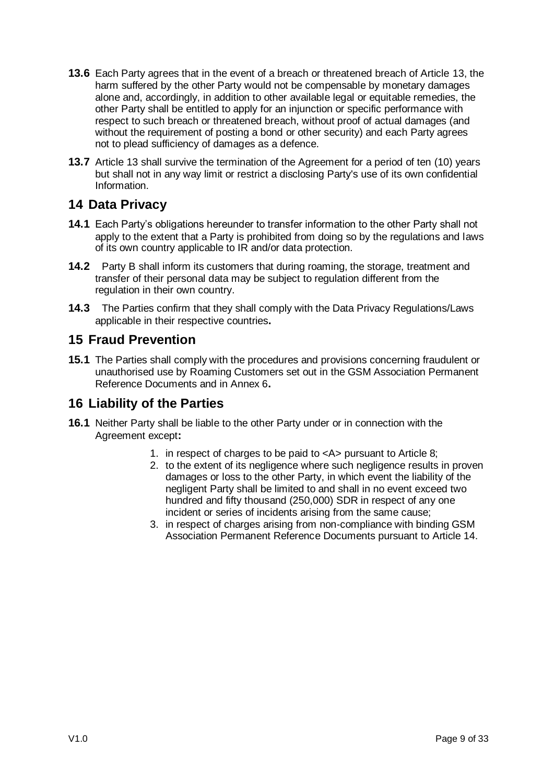- **13.6** Each Party agrees that in the event of a breach or threatened breach of Article 13, the harm suffered by the other Party would not be compensable by monetary damages alone and, accordingly, in addition to other available legal or equitable remedies, the other Party shall be entitled to apply for an injunction or specific performance with respect to such breach or threatened breach, without proof of actual damages (and without the requirement of posting a bond or other security) and each Party agrees not to plead sufficiency of damages as a defence.
- **13.7** Article 13 shall survive the termination of the Agreement for a period of ten (10) years but shall not in any way limit or restrict a disclosing Party's use of its own confidential Information.

## **14 Data Privacy**

- **14.1** Each Party"s obligations hereunder to transfer information to the other Party shall not apply to the extent that a Party is prohibited from doing so by the regulations and laws of its own country applicable to IR and/or data protection.
- **14.2** Party B shall inform its customers that during roaming, the storage, treatment and transfer of their personal data may be subject to regulation different from the regulation in their own country.
- **14.3** The Parties confirm that they shall comply with the Data Privacy Regulations/Laws applicable in their respective countries**.**

### **15 Fraud Prevention**

**15.1** The Parties shall comply with the procedures and provisions concerning fraudulent or unauthorised use by Roaming Customers set out in the GSM Association Permanent Reference Documents and in Annex 6**.**

## <span id="page-8-0"></span>**16 Liability of the Parties**

- <span id="page-8-1"></span>**16.1** Neither Party shall be liable to the other Party under or in connection with the Agreement except**:**
	- 1. in respect of charges to be paid to <A> pursuant to Article 8;
	- 2. to the extent of its negligence where such negligence results in proven damages or loss to the other Party, in which event the liability of the negligent Party shall be limited to and shall in no event exceed two hundred and fifty thousand (250,000) SDR in respect of any one incident or series of incidents arising from the same cause;
	- 3. in respect of charges arising from non-compliance with binding GSM Association Permanent Reference Documents pursuant to Article 14.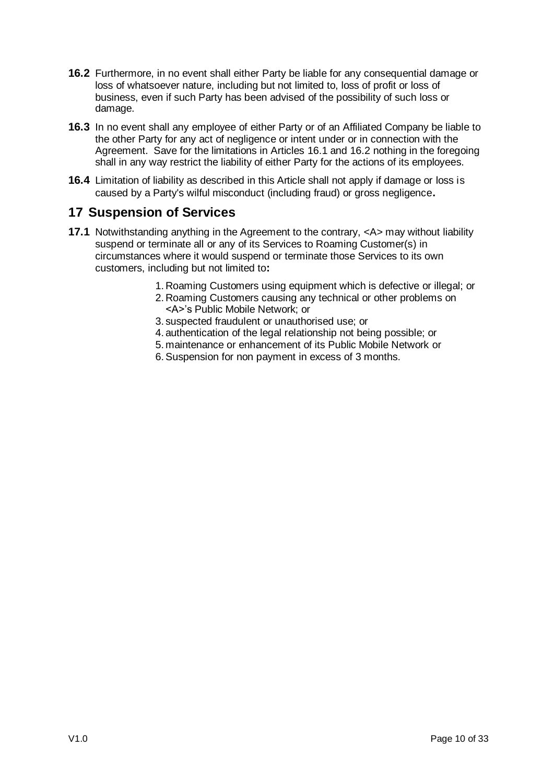- <span id="page-9-0"></span>**16.2** Furthermore, in no event shall either Party be liable for any consequential damage or loss of whatsoever nature, including but not limited to, loss of profit or loss of business, even if such Party has been advised of the possibility of such loss or damage.
- **16.3** In no event shall any employee of either Party or of an Affiliated Company be liable to the other Party for any act of negligence or intent under or in connection with the Agreement. Save for the limitations in Articles [16.1](#page-8-1) and [16.2](#page-9-0) nothing in the foregoing shall in any way restrict the liability of either Party for the actions of its employees.
- **16.4** Limitation of liability as described in this Article shall not apply if damage or loss is caused by a Party's wilful misconduct (including fraud) or gross negligence**.**

## <span id="page-9-1"></span>**17 Suspension of Services**

- **17.1** Notwithstanding anything in the Agreement to the contrary,  $\langle A \rangle$  may without liability suspend or terminate all or any of its Services to Roaming Customer(s) in circumstances where it would suspend or terminate those Services to its own customers, including but not limited to**:**
	- 1.Roaming Customers using equipment which is defective or illegal; or
	- 2.Roaming Customers causing any technical or other problems on <A>"s Public Mobile Network; or
	- 3. suspected fraudulent or unauthorised use; or
	- 4. authentication of the legal relationship not being possible; or
	- 5. maintenance or enhancement of its Public Mobile Network or
	- 6.Suspension for non payment in excess of 3 months.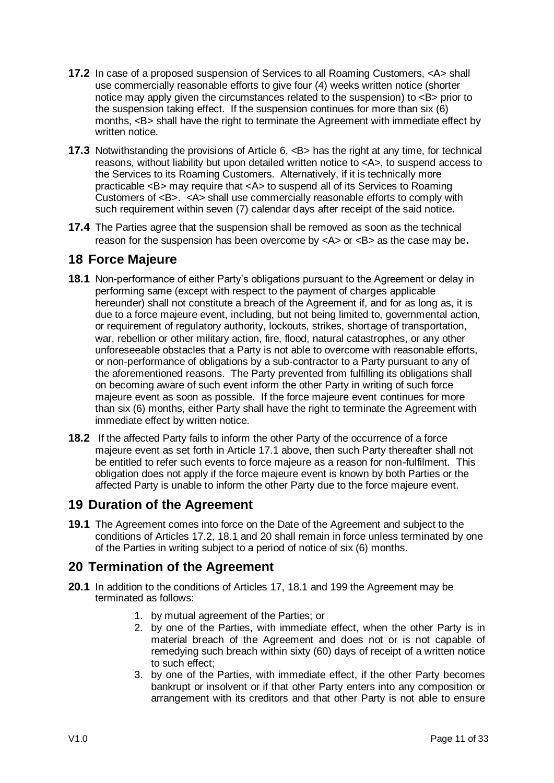- <span id="page-10-0"></span>**17.2** In case of a proposed suspension of Services to all Roaming Customers, <A> shall use commercially reasonable efforts to give four (4) weeks written notice (shorter notice may apply given the circumstances related to the suspension) to <B> prior to the suspension taking effect. If the suspension continues for more than six (6) months, <B> shall have the right to terminate the Agreement with immediate effect by written notice.
- **17.3** Notwithstanding the provisions of Article [6,](#page-4-1) <B> has the right at any time, for technical reasons, without liability but upon detailed written notice to <A>, to suspend access to the Services to its Roaming Customers. Alternatively, if it is technically more practicable <B> may require that <A> to suspend all of its Services to Roaming Customers of <B>. <A> shall use commercially reasonable efforts to comply with such requirement within seven (7) calendar days after receipt of the said notice.
- **17.4** The Parties agree that the suspension shall be removed as soon as the technical reason for the suspension has been overcome by  $\langle A \rangle$  or  $\langle B \rangle$  as the case may be.

### **18 Force Majeure**

- <span id="page-10-1"></span>**18.1** Non-performance of either Party"s obligations pursuant to the Agreement or delay in performing same (except with respect to the payment of charges applicable hereunder) shall not constitute a breach of the Agreement if, and for as long as, it is due to a force majeure event, including, but not being limited to, governmental action, or requirement of regulatory authority, lockouts, strikes, shortage of transportation, war, rebellion or other military action, fire, flood, natural catastrophes, or any other unforeseeable obstacles that a Party is not able to overcome with reasonable efforts, or non-performance of obligations by a sub-contractor to a Party pursuant to any of the aforementioned reasons. The Party prevented from fulfilling its obligations shall on becoming aware of such event inform the other Party in writing of such force majeure event as soon as possible. If the force majeure event continues for more than six (6) months, either Party shall have the right to terminate the Agreement with immediate effect by written notice.
- **18.2** If the affected Party fails to inform the other Party of the occurrence of a force majeure event as set forth in Article 17.1 above, then such Party thereafter shall not be entitled to refer such events to force majeure as a reason for non-fulfilment. This obligation does not apply if the force majeure event is known by both Parties or the affected Party is unable to inform the other Party due to the force majeure event.

## <span id="page-10-2"></span>**19 Duration of the Agreement**

**19.1** The Agreement comes into force on the Date of the Agreement and subject to the conditions of Articles [17.2,](#page-10-0) [18.1](#page-10-1) and 20 shall remain in force unless terminated by one of the Parties in writing subject to a period of notice of six (6) months.

## **20 Termination of the Agreement**

- <span id="page-10-3"></span>**20.1** In addition to the conditions of Articles 17, [18.1](#page-10-1) and [199](#page-10-2) the Agreement may be terminated as follows:
	- 1. by mutual agreement of the Parties; or
	- 2. by one of the Parties, with immediate effect, when the other Party is in material breach of the Agreement and does not or is not capable of remedying such breach within sixty (60) days of receipt of a written notice to such effect;
	- 3. by one of the Parties, with immediate effect, if the other Party becomes bankrupt or insolvent or if that other Party enters into any composition or arrangement with its creditors and that other Party is not able to ensure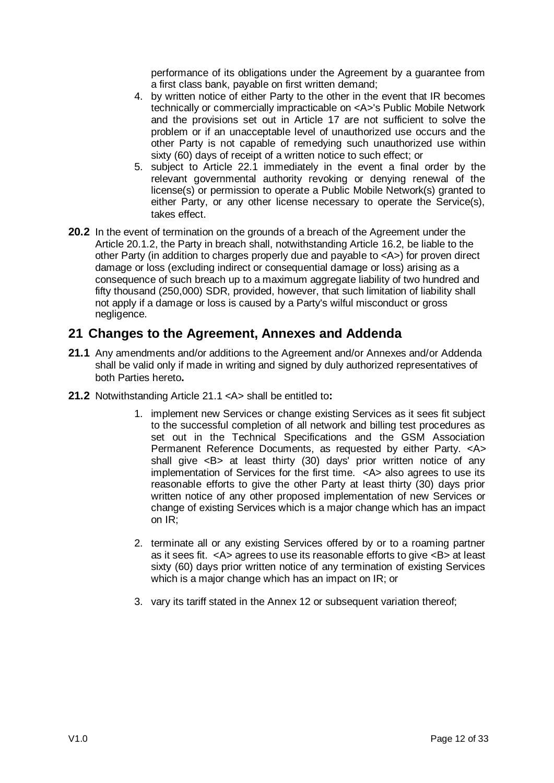performance of its obligations under the Agreement by a guarantee from a first class bank, payable on first written demand;

- 4. by written notice of either Party to the other in the event that IR becomes technically or commercially impracticable on <A>'s Public Mobile Network and the provisions set out in Article [17](#page-9-1) are not sufficient to solve the problem or if an unacceptable level of unauthorized use occurs and the other Party is not capable of remedying such unauthorized use within sixty (60) days of receipt of a written notice to such effect; or
- 5. subject to Article 22.1 immediately in the event a final order by the relevant governmental authority revoking or denying renewal of the license(s) or permission to operate a Public Mobile Network(s) granted to either Party, or any other license necessary to operate the Service(s), takes effect.
- **20.2** In the event of termination on the grounds of a breach of the Agreement under the Article 20.1[.2,](#page-10-3) the Party in breach shall, notwithstanding Article [16.2,](#page-9-0) be liable to the other Party (in addition to charges properly due and payable to <A>) for proven direct damage or loss (excluding indirect or consequential damage or loss) arising as a consequence of such breach up to a maximum aggregate liability of two hundred and fifty thousand (250,000) SDR, provided, however, that such limitation of liability shall not apply if a damage or loss is caused by a Party's wilful misconduct or gross negligence.

## **21 Changes to the Agreement, Annexes and Addenda**

- <span id="page-11-0"></span>**21.1** Any amendments and/or additions to the Agreement and/or Annexes and/or Addenda shall be valid only if made in writing and signed by duly authorized representatives of both Parties hereto**.**
- <span id="page-11-2"></span><span id="page-11-1"></span>**21.2** Notwithstanding Article [21.1](#page-11-0) <A> shall be entitled to**:** 
	- 1. implement new Services or change existing Services as it sees fit subject to the successful completion of all network and billing test procedures as set out in the Technical Specifications and the GSM Association Permanent Reference Documents, as requested by either Party. <A> shall give <B> at least thirty (30) days' prior written notice of any implementation of Services for the first time. <A> also agrees to use its reasonable efforts to give the other Party at least thirty (30) days prior written notice of any other proposed implementation of new Services or change of existing Services which is a major change which has an impact on IR;
	- 2. terminate all or any existing Services offered by or to a roaming partner as it sees fit. <A> agrees to use its reasonable efforts to give <B> at least sixty (60) days prior written notice of any termination of existing Services which is a major change which has an impact on IR; or
	- 3. vary its tariff stated in the Annex 12 or subsequent variation thereof;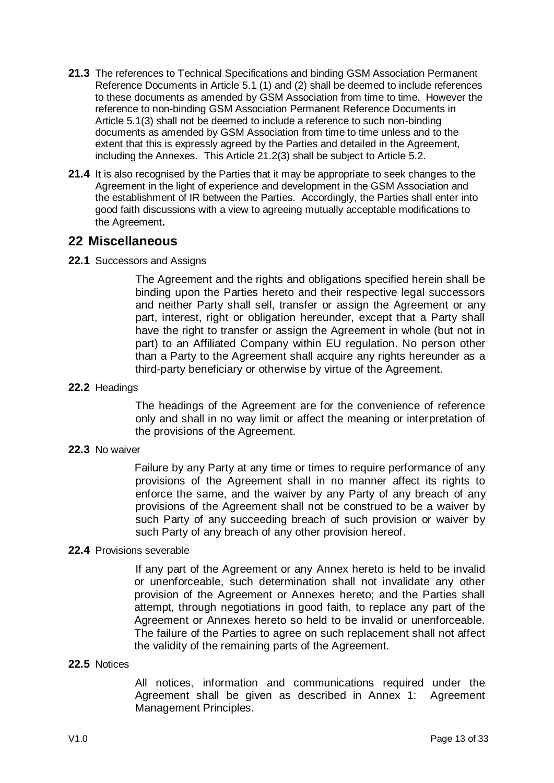- **21.3** The references to Technical Specifications and binding GSM Association Permanent Reference Documents in Article [5.1](#page-4-2) [\(1\)](#page-4-3) and [\(2\)](#page-4-4) shall be deemed to include references to these documents as amended by GSM Association from time to time. However the reference to non-binding GSM Association Permanent Reference Documents in Article [5.1](#page-4-2)[\(3\)](#page-4-5) shall not be deemed to include a reference to such non-binding documents as amended by GSM Association from time to time unless and to the extent that this is expressly agreed by the Parties and detailed in the Agreement, including the Annexes. This Article [21.2](#page-11-1)[\(3\)](#page-11-2) shall be subject to Article [5.2.](#page-4-0)
- **21.4** It is also recognised by the Parties that it may be appropriate to seek changes to the Agreement in the light of experience and development in the GSM Association and the establishment of IR between the Parties. Accordingly, the Parties shall enter into good faith discussions with a view to agreeing mutually acceptable modifications to the Agreement**.**

### **22 Miscellaneous**

### **22.1** Successors and Assigns

The Agreement and the rights and obligations specified herein shall be binding upon the Parties hereto and their respective legal successors and neither Party shall sell, transfer or assign the Agreement or any part, interest, right or obligation hereunder, except that a Party shall have the right to transfer or assign the Agreement in whole (but not in part) to an Affiliated Company within EU regulation. No person other than a Party to the Agreement shall acquire any rights hereunder as a third-party beneficiary or otherwise by virtue of the Agreement.

#### **22.2** Headings

The headings of the Agreement are for the convenience of reference only and shall in no way limit or affect the meaning or interpretation of the provisions of the Agreement.

### **22.3** No waiver

Failure by any Party at any time or times to require performance of any provisions of the Agreement shall in no manner affect its rights to enforce the same, and the waiver by any Party of any breach of any provisions of the Agreement shall not be construed to be a waiver by such Party of any succeeding breach of such provision or waiver by such Party of any breach of any other provision hereof.

### **22.4** Provisions severable

If any part of the Agreement or any Annex hereto is held to be invalid or unenforceable, such determination shall not invalidate any other provision of the Agreement or Annexes hereto; and the Parties shall attempt, through negotiations in good faith, to replace any part of the Agreement or Annexes hereto so held to be invalid or unenforceable. The failure of the Parties to agree on such replacement shall not affect the validity of the remaining parts of the Agreement.

#### **22.5** Notices

All notices, information and communications required under the Agreement shall be given as described in Annex 1: Agreement Management Principles.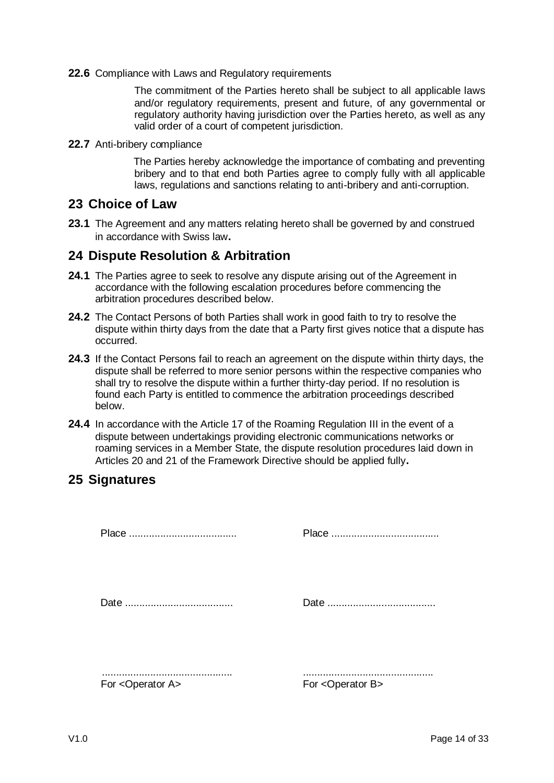**22.6** Compliance with Laws and Regulatory requirements

The commitment of the Parties hereto shall be subject to all applicable laws and/or regulatory requirements, present and future, of any governmental or regulatory authority having jurisdiction over the Parties hereto, as well as any valid order of a court of competent jurisdiction.

**22.7** Anti-bribery compliance

The Parties hereby acknowledge the importance of combating and preventing bribery and to that end both Parties agree to comply fully with all applicable laws, regulations and sanctions relating to anti-bribery and anti-corruption.

### **23 Choice of Law**

**23.1** The Agreement and any matters relating hereto shall be governed by and construed in accordance with Swiss law**.**

### **24 Dispute Resolution & Arbitration**

- **24.1** The Parties agree to seek to resolve any dispute arising out of the Agreement in accordance with the following escalation procedures before commencing the arbitration procedures described below.
- **24.2** The Contact Persons of both Parties shall work in good faith to try to resolve the dispute within thirty days from the date that a Party first gives notice that a dispute has occurred.
- **24.3** If the Contact Persons fail to reach an agreement on the dispute within thirty days, the dispute shall be referred to more senior persons within the respective companies who shall try to resolve the dispute within a further thirty-day period. If no resolution is found each Party is entitled to commence the arbitration proceedings described below.
- **24.4** In accordance with the Article 17 of the Roaming Regulation III in the event of a dispute between undertakings providing electronic communications networks or roaming services in a Member State, the dispute resolution procedures laid down in Articles 20 and 21 of the Framework Directive should be applied fully**.**

## **25 Signatures**

Place ...................................... Place ...................................... Date ...................................... Date ...................................... .............................................. .............................................. For <Operator A> For <Operator B>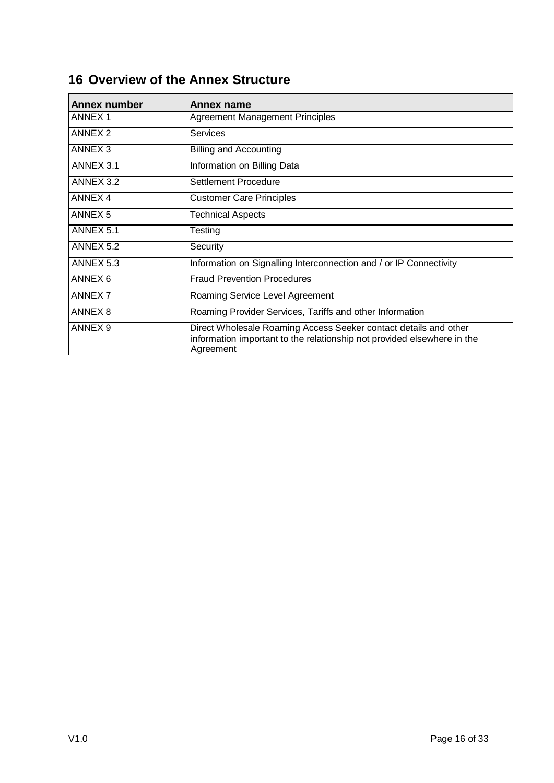| <b>Annex number</b> | Annex name                                                                                                                                               |  |
|---------------------|----------------------------------------------------------------------------------------------------------------------------------------------------------|--|
| <b>ANNEX1</b>       | Agreement Management Principles                                                                                                                          |  |
| <b>ANNEX 2</b>      | Services                                                                                                                                                 |  |
| ANNEX <sub>3</sub>  | <b>Billing and Accounting</b>                                                                                                                            |  |
| ANNEX 3.1           | Information on Billing Data                                                                                                                              |  |
| ANNEX 3.2           | Settlement Procedure                                                                                                                                     |  |
| ANNEX 4             | <b>Customer Care Principles</b>                                                                                                                          |  |
| ANNEX <sub>5</sub>  | <b>Technical Aspects</b>                                                                                                                                 |  |
| ANNEX 5.1           | Testing                                                                                                                                                  |  |
| ANNEX 5.2           | Security                                                                                                                                                 |  |
| ANNEX 5.3           | Information on Signalling Interconnection and / or IP Connectivity                                                                                       |  |
| ANNEX 6             | <b>Fraud Prevention Procedures</b>                                                                                                                       |  |
| ANNEX <sub>7</sub>  | Roaming Service Level Agreement                                                                                                                          |  |
| ANNEX 8             | Roaming Provider Services, Tariffs and other Information                                                                                                 |  |
| ANNEX <sub>9</sub>  | Direct Wholesale Roaming Access Seeker contact details and other<br>information important to the relationship not provided elsewhere in the<br>Agreement |  |

# **16 Overview of the Annex Structure**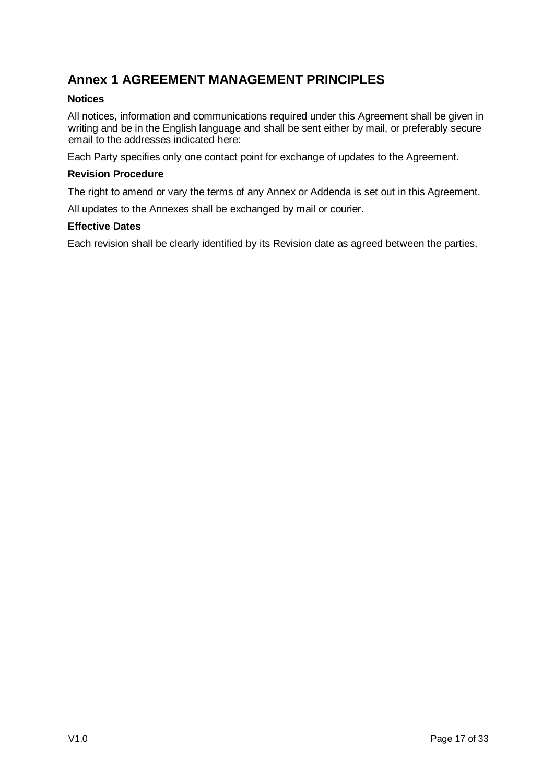## **Annex 1 AGREEMENT MANAGEMENT PRINCIPLES**

### **Notices**

All notices, information and communications required under this Agreement shall be given in writing and be in the English language and shall be sent either by mail, or preferably secure email to the addresses indicated here:

Each Party specifies only one contact point for exchange of updates to the Agreement.

### **Revision Procedure**

The right to amend or vary the terms of any Annex or Addenda is set out in this Agreement.

All updates to the Annexes shall be exchanged by mail or courier.

### **Effective Dates**

Each revision shall be clearly identified by its Revision date as agreed between the parties.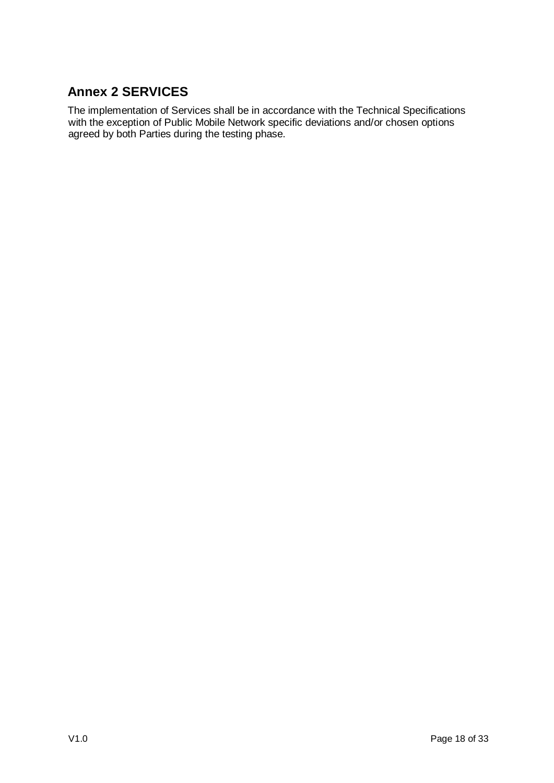# **Annex 2 SERVICES**

The implementation of Services shall be in accordance with the Technical Specifications with the exception of Public Mobile Network specific deviations and/or chosen options agreed by both Parties during the testing phase.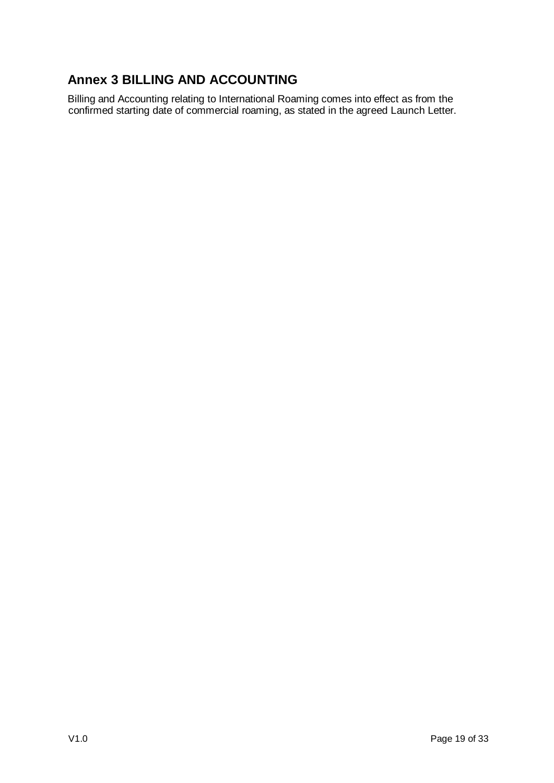# **Annex 3 BILLING AND ACCOUNTING**

Billing and Accounting relating to International Roaming comes into effect as from the confirmed starting date of commercial roaming, as stated in the agreed Launch Letter.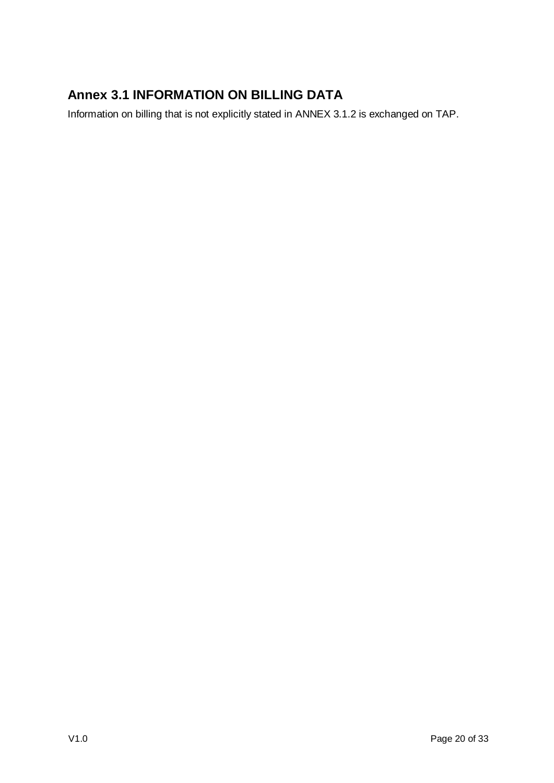# **Annex 3.1 INFORMATION ON BILLING DATA**

Information on billing that is not explicitly stated in ANNEX 3.1.2 is exchanged on TAP.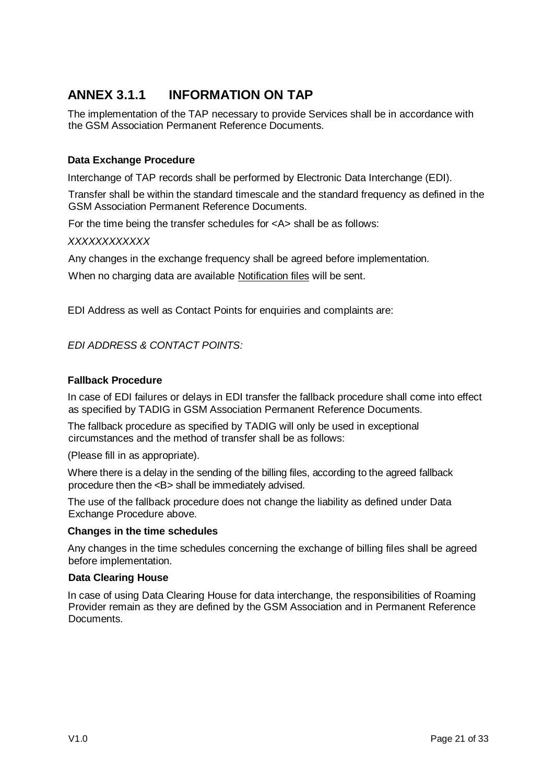# **ANNEX 3.1.1 INFORMATION ON TAP**

The implementation of the TAP necessary to provide Services shall be in accordance with the GSM Association Permanent Reference Documents.

### **Data Exchange Procedure**

Interchange of TAP records shall be performed by Electronic Data Interchange (EDI).

Transfer shall be within the standard timescale and the standard frequency as defined in the GSM Association Permanent Reference Documents.

For the time being the transfer schedules for <A> shall be as follows:

#### *XXXXXXXXXXXX*

Any changes in the exchange frequency shall be agreed before implementation.

When no charging data are available Notification files will be sent.

EDI Address as well as Contact Points for enquiries and complaints are:

### *EDI ADDRESS & CONTACT POINTS:*

#### **Fallback Procedure**

In case of EDI failures or delays in EDI transfer the fallback procedure shall come into effect as specified by TADIG in GSM Association Permanent Reference Documents.

The fallback procedure as specified by TADIG will only be used in exceptional circumstances and the method of transfer shall be as follows:

(Please fill in as appropriate).

Where there is a delay in the sending of the billing files, according to the agreed fallback procedure then the <B> shall be immediately advised.

The use of the fallback procedure does not change the liability as defined under Data Exchange Procedure above.

#### **Changes in the time schedules**

Any changes in the time schedules concerning the exchange of billing files shall be agreed before implementation.

#### **Data Clearing House**

In case of using Data Clearing House for data interchange, the responsibilities of Roaming Provider remain as they are defined by the GSM Association and in Permanent Reference Documents.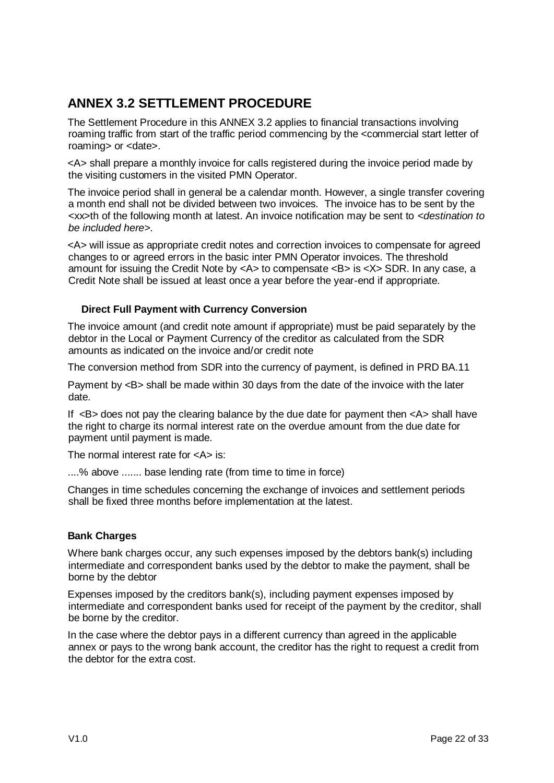## **ANNEX 3.2 SETTLEMENT PROCEDURE**

The Settlement Procedure in this ANNEX 3.2 applies to financial transactions involving roaming traffic from start of the traffic period commencing by the <commercial start letter of roaming> or <date>.

<A> shall prepare a monthly invoice for calls registered during the invoice period made by the visiting customers in the visited PMN Operator.

The invoice period shall in general be a calendar month. However, a single transfer covering a month end shall not be divided between two invoices. The invoice has to be sent by the <xx>th of the following month at latest. An invoice notification may be sent to *<destination to be included here>*.

<A> will issue as appropriate credit notes and correction invoices to compensate for agreed changes to or agreed errors in the basic inter PMN Operator invoices. The threshold amount for issuing the Credit Note by <A> to compensate <B> is <X> SDR. In any case, a Credit Note shall be issued at least once a year before the year-end if appropriate.

### **Direct Full Payment with Currency Conversion**

The invoice amount (and credit note amount if appropriate) must be paid separately by the debtor in the Local or Payment Currency of the creditor as calculated from the SDR amounts as indicated on the invoice and/or credit note

The conversion method from SDR into the currency of payment, is defined in PRD BA.11

Payment by <B> shall be made within 30 days from the date of the invoice with the later date.

If  $\leq$ B adoes not pay the clearing balance by the due date for payment then  $\leq$ A shall have the right to charge its normal interest rate on the overdue amount from the due date for payment until payment is made.

The normal interest rate for <A> is:

....% above ....... base lending rate (from time to time in force)

Changes in time schedules concerning the exchange of invoices and settlement periods shall be fixed three months before implementation at the latest.

### **Bank Charges**

Where bank charges occur, any such expenses imposed by the debtors bank(s) including intermediate and correspondent banks used by the debtor to make the payment, shall be borne by the debtor

Expenses imposed by the creditors bank(s), including payment expenses imposed by intermediate and correspondent banks used for receipt of the payment by the creditor, shall be borne by the creditor.

In the case where the debtor pays in a different currency than agreed in the applicable annex or pays to the wrong bank account, the creditor has the right to request a credit from the debtor for the extra cost.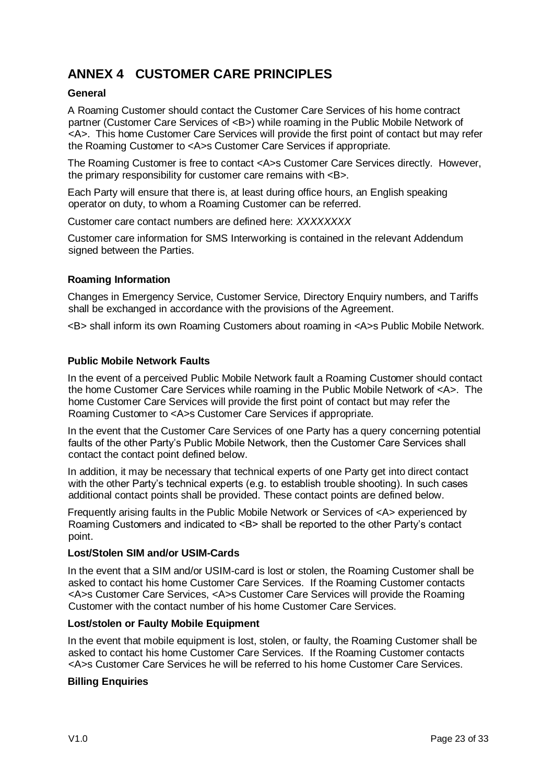# **ANNEX 4 CUSTOMER CARE PRINCIPLES**

### **General**

A Roaming Customer should contact the Customer Care Services of his home contract partner (Customer Care Services of <B>) while roaming in the Public Mobile Network of <A>. This home Customer Care Services will provide the first point of contact but may refer the Roaming Customer to <A>s Customer Care Services if appropriate.

The Roaming Customer is free to contact <A>s Customer Care Services directly. However, the primary responsibility for customer care remains with <B>.

Each Party will ensure that there is, at least during office hours, an English speaking operator on duty, to whom a Roaming Customer can be referred.

Customer care contact numbers are defined here: *XXXXXXXX*

Customer care information for SMS Interworking is contained in the relevant Addendum signed between the Parties.

### **Roaming Information**

Changes in Emergency Service, Customer Service, Directory Enquiry numbers, and Tariffs shall be exchanged in accordance with the provisions of the Agreement.

<B> shall inform its own Roaming Customers about roaming in <A>s Public Mobile Network.

### **Public Mobile Network Faults**

In the event of a perceived Public Mobile Network fault a Roaming Customer should contact the home Customer Care Services while roaming in the Public Mobile Network of <A>. The home Customer Care Services will provide the first point of contact but may refer the Roaming Customer to <A>s Customer Care Services if appropriate.

In the event that the Customer Care Services of one Party has a query concerning potential faults of the other Party"s Public Mobile Network, then the Customer Care Services shall contact the contact point defined below.

In addition, it may be necessary that technical experts of one Party get into direct contact with the other Party's technical experts (e.g. to establish trouble shooting). In such cases additional contact points shall be provided. These contact points are defined below.

Frequently arising faults in the Public Mobile Network or Services of <A> experienced by Roaming Customers and indicated to <B> shall be reported to the other Party's contact point.

### **Lost/Stolen SIM and/or USIM-Cards**

In the event that a SIM and/or USIM-card is lost or stolen, the Roaming Customer shall be asked to contact his home Customer Care Services. If the Roaming Customer contacts <A>s Customer Care Services, <A>s Customer Care Services will provide the Roaming Customer with the contact number of his home Customer Care Services.

### **Lost/stolen or Faulty Mobile Equipment**

In the event that mobile equipment is lost, stolen, or faulty, the Roaming Customer shall be asked to contact his home Customer Care Services. If the Roaming Customer contacts <A>s Customer Care Services he will be referred to his home Customer Care Services.

### **Billing Enquiries**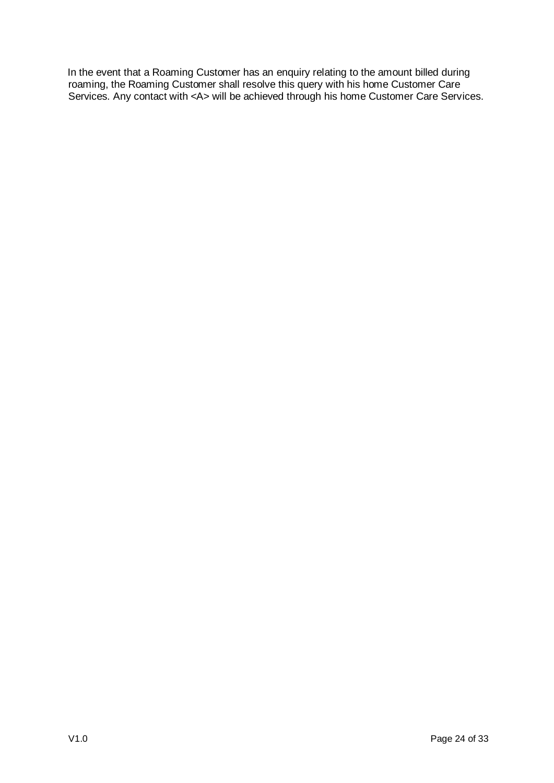In the event that a Roaming Customer has an enquiry relating to the amount billed during roaming, the Roaming Customer shall resolve this query with his home Customer Care Services. Any contact with <A> will be achieved through his home Customer Care Services.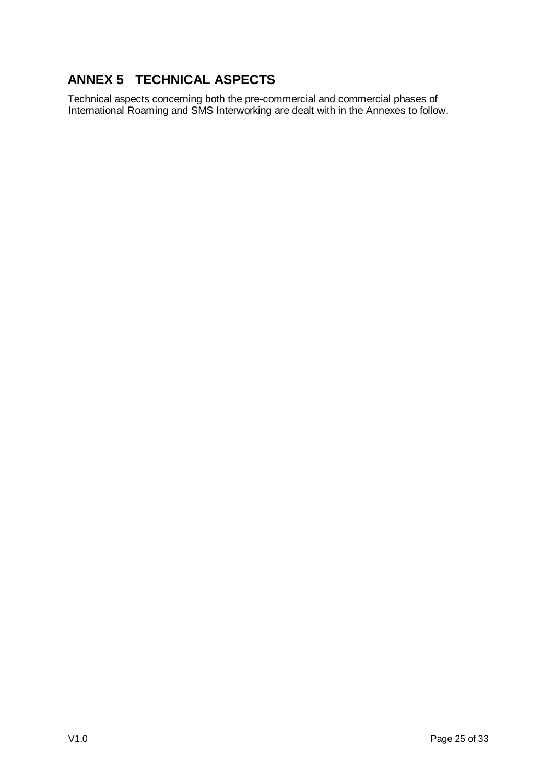# **ANNEX 5 TECHNICAL ASPECTS**

Technical aspects concerning both the pre-commercial and commercial phases of International Roaming and SMS Interworking are dealt with in the Annexes to follow.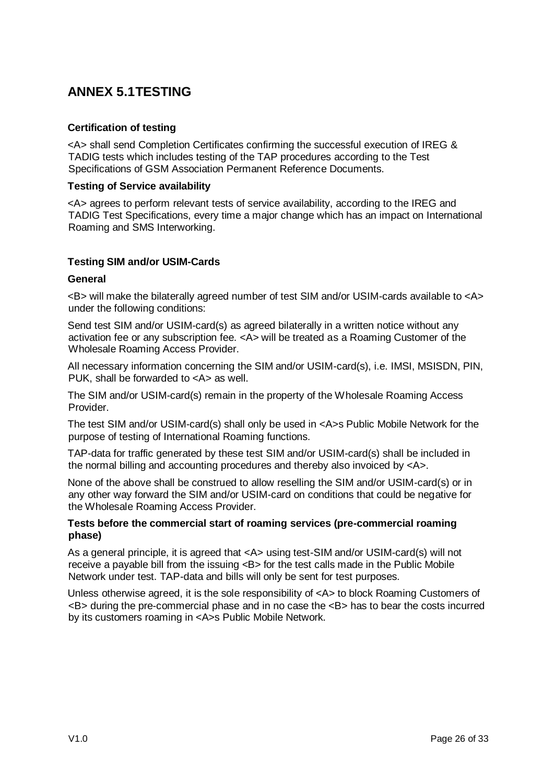## **ANNEX 5.1TESTING**

### **Certification of testing**

<A> shall send Completion Certificates confirming the successful execution of IREG & TADIG tests which includes testing of the TAP procedures according to the Test Specifications of GSM Association Permanent Reference Documents.

### **Testing of Service availability**

<A> agrees to perform relevant tests of service availability, according to the IREG and TADIG Test Specifications, every time a major change which has an impact on International Roaming and SMS Interworking.

### **Testing SIM and/or USIM-Cards**

### **General**

<B> will make the bilaterally agreed number of test SIM and/or USIM-cards available to <A> under the following conditions:

Send test SIM and/or USIM-card(s) as agreed bilaterally in a written notice without any activation fee or any subscription fee. <A> will be treated as a Roaming Customer of the Wholesale Roaming Access Provider.

All necessary information concerning the SIM and/or USIM-card(s), i.e. IMSI, MSISDN, PIN, PUK, shall be forwarded to <A> as well.

The SIM and/or USIM-card(s) remain in the property of the Wholesale Roaming Access Provider.

The test SIM and/or USIM-card(s) shall only be used in <A>s Public Mobile Network for the purpose of testing of International Roaming functions.

TAP-data for traffic generated by these test SIM and/or USIM-card(s) shall be included in the normal billing and accounting procedures and thereby also invoiced by <A>.

None of the above shall be construed to allow reselling the SIM and/or USIM-card(s) or in any other way forward the SIM and/or USIM-card on conditions that could be negative for the Wholesale Roaming Access Provider.

#### **Tests before the commercial start of roaming services (pre-commercial roaming phase)**

As a general principle, it is agreed that <A> using test-SIM and/or USIM-card(s) will not receive a payable bill from the issuing <B> for the test calls made in the Public Mobile Network under test. TAP-data and bills will only be sent for test purposes.

Unless otherwise agreed, it is the sole responsibility of <A> to block Roaming Customers of <B> during the pre-commercial phase and in no case the <B> has to bear the costs incurred by its customers roaming in <A>s Public Mobile Network.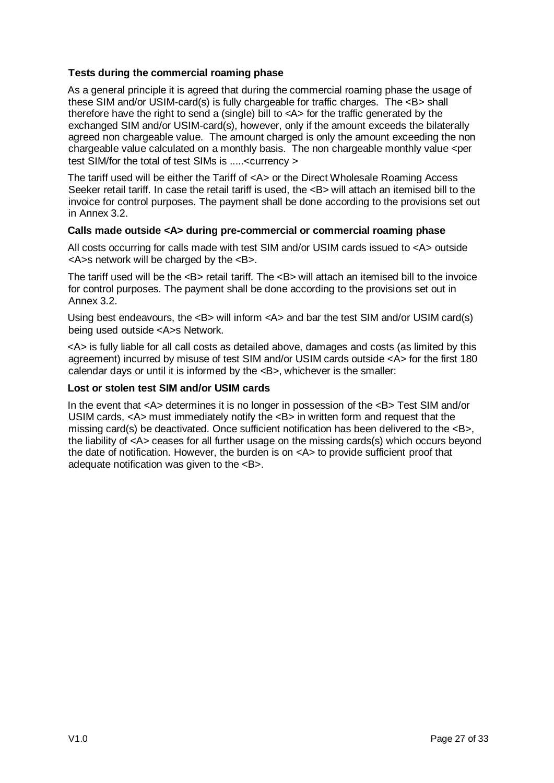### **Tests during the commercial roaming phase**

As a general principle it is agreed that during the commercial roaming phase the usage of these SIM and/or USIM-card(s) is fully chargeable for traffic charges. The <B> shall therefore have the right to send a (single) bill to <A> for the traffic generated by the exchanged SIM and/or USIM-card(s), however, only if the amount exceeds the bilaterally agreed non chargeable value. The amount charged is only the amount exceeding the non chargeable value calculated on a monthly basis. The non chargeable monthly value <per test SIM/for the total of test SIMs is .....<currency >

The tariff used will be either the Tariff of <A> or the Direct Wholesale Roaming Access Seeker retail tariff. In case the retail tariff is used, the <B> will attach an itemised bill to the invoice for control purposes. The payment shall be done according to the provisions set out in Annex 3.2.

### **Calls made outside <A> during pre-commercial or commercial roaming phase**

All costs occurring for calls made with test SIM and/or USIM cards issued to <A> outside <A>s network will be charged by the <B>.

The tariff used will be the <B> retail tariff. The <B> will attach an itemised bill to the invoice for control purposes. The payment shall be done according to the provisions set out in Annex 3.2.

Using best endeavours, the  $\leq B$  will inform  $\leq A$  and bar the test SIM and/or USIM card(s) being used outside <A>s Network.

<A> is fully liable for all call costs as detailed above, damages and costs (as limited by this agreement) incurred by misuse of test SIM and/or USIM cards outside <A> for the first 180 calendar days or until it is informed by the <B>, whichever is the smaller:

### **Lost or stolen test SIM and/or USIM cards**

In the event that <A> determines it is no longer in possession of the <B> Test SIM and/or USIM cards,  $\langle A \rangle$  must immediately notify the  $\langle B \rangle$  in written form and request that the missing card(s) be deactivated. Once sufficient notification has been delivered to the <B>, the liability of <A> ceases for all further usage on the missing cards(s) which occurs beyond the date of notification. However, the burden is on <A> to provide sufficient proof that adequate notification was given to the <B>.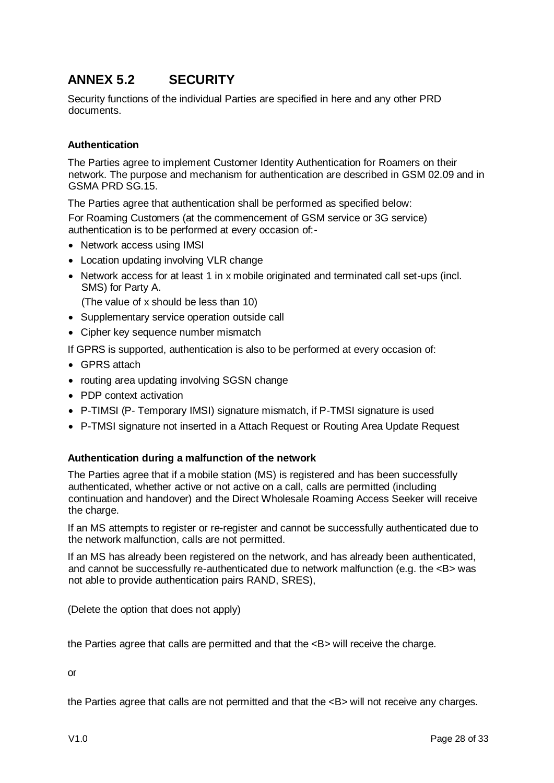# **ANNEX 5.2 SECURITY**

Security functions of the individual Parties are specified in here and any other PRD documents.

### **Authentication**

The Parties agree to implement Customer Identity Authentication for Roamers on their network. The purpose and mechanism for authentication are described in GSM 02.09 and in GSMA PRD SG.15.

The Parties agree that authentication shall be performed as specified below:

For Roaming Customers (at the commencement of GSM service or 3G service) authentication is to be performed at every occasion of:-

- Network access using IMSI
- Location updating involving VLR change
- Network access for at least 1 in x mobile originated and terminated call set-ups (incl. SMS) for Party A.

(The value of x should be less than 10)

- Supplementary service operation outside call
- Cipher key sequence number mismatch

If GPRS is supported, authentication is also to be performed at every occasion of:

- GPRS attach
- routing area updating involving SGSN change
- PDP context activation
- P-TIMSI (P- Temporary IMSI) signature mismatch, if P-TMSI signature is used
- P-TMSI signature not inserted in a Attach Request or Routing Area Update Request

### **Authentication during a malfunction of the network**

The Parties agree that if a mobile station (MS) is registered and has been successfully authenticated, whether active or not active on a call, calls are permitted (including continuation and handover) and the Direct Wholesale Roaming Access Seeker will receive the charge.

If an MS attempts to register or re-register and cannot be successfully authenticated due to the network malfunction, calls are not permitted.

If an MS has already been registered on the network, and has already been authenticated, and cannot be successfully re-authenticated due to network malfunction (e.g. the  $\langle B \rangle$  was not able to provide authentication pairs RAND, SRES),

(Delete the option that does not apply)

the Parties agree that calls are permitted and that the <B> will receive the charge.

or

the Parties agree that calls are not permitted and that the <B> will not receive any charges.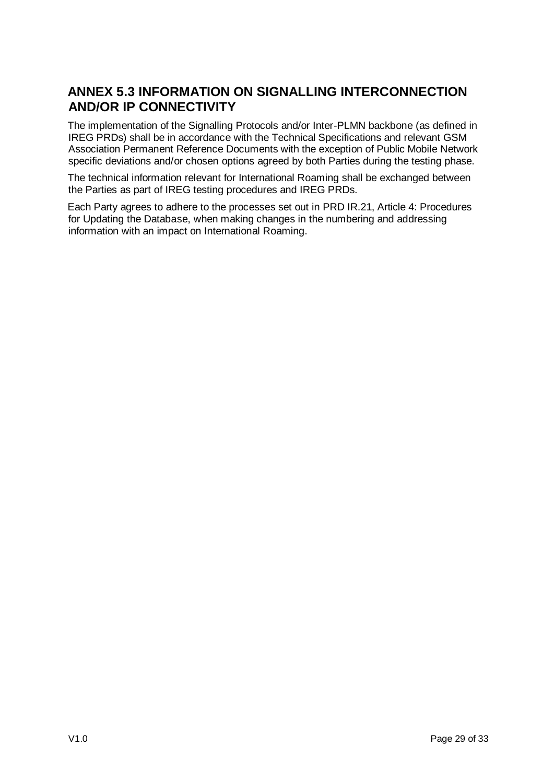## **ANNEX 5.3 INFORMATION ON SIGNALLING INTERCONNECTION AND/OR IP CONNECTIVITY**

The implementation of the Signalling Protocols and/or Inter-PLMN backbone (as defined in IREG PRDs) shall be in accordance with the Technical Specifications and relevant GSM Association Permanent Reference Documents with the exception of Public Mobile Network specific deviations and/or chosen options agreed by both Parties during the testing phase.

The technical information relevant for International Roaming shall be exchanged between the Parties as part of IREG testing procedures and IREG PRDs.

Each Party agrees to adhere to the processes set out in PRD IR.21, Article 4: Procedures for Updating the Database, when making changes in the numbering and addressing information with an impact on International Roaming.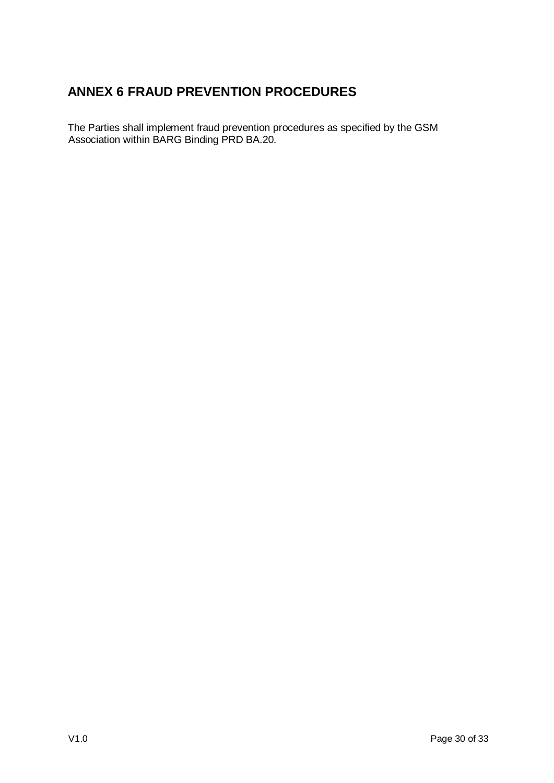# **ANNEX 6 FRAUD PREVENTION PROCEDURES**

The Parties shall implement fraud prevention procedures as specified by the GSM Association within BARG Binding PRD BA.20.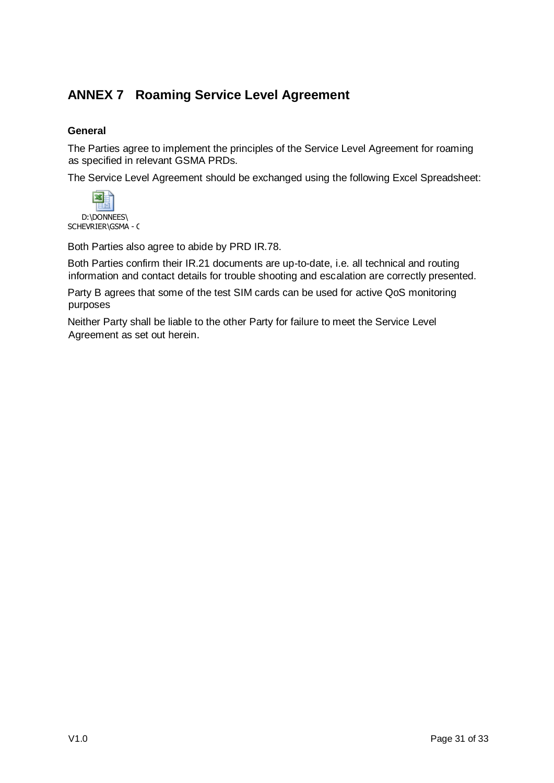# **ANNEX 7 Roaming Service Level Agreement**

### **General**

The Parties agree to implement the principles of the Service Level Agreement for roaming as specified in relevant GSMA PRDs.

The Service Level Agreement should be exchanged using the following Excel Spreadsheet:



Both Parties also agree to abide by PRD IR.78.

Both Parties confirm their IR.21 documents are up-to-date, i.e. all technical and routing information and contact details for trouble shooting and escalation are correctly presented.

Party B agrees that some of the test SIM cards can be used for active QoS monitoring purposes

Neither Party shall be liable to the other Party for failure to meet the Service Level Agreement as set out herein.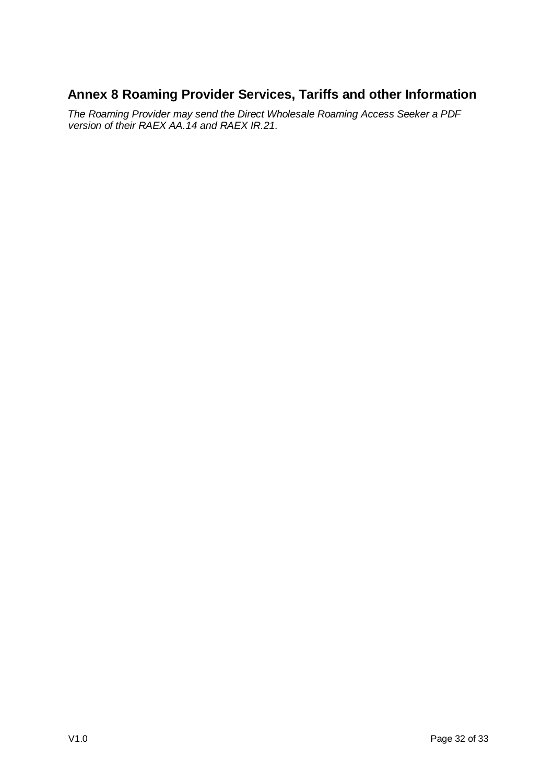## **Annex 8 Roaming Provider Services, Tariffs and other Information**

*The Roaming Provider may send the Direct Wholesale Roaming Access Seeker a PDF version of their RAEX AA.14 and RAEX IR.21.*